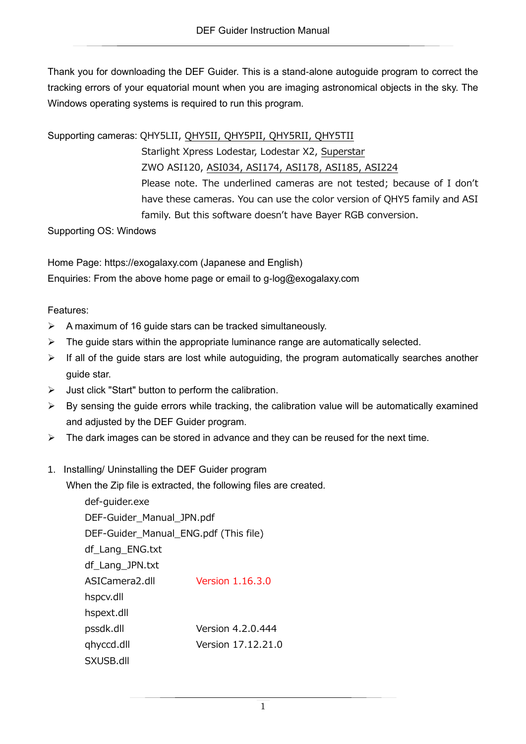Thank you for downloading the DEF Guider. This is a stand-alone autoguide program to correct the tracking errors of your equatorial mount when you are imaging astronomical objects in the sky. The Windows operating systems is required to run this program.

Supporting cameras: QHY5LII, QHY5II, QHY5PII, QHY5RII, QHY5TII

Starlight Xpress Lodestar, Lodestar X2, Superstar ZWO ASI120, ASI034, ASI174, ASI178, ASI185, ASI224 Please note. The underlined cameras are not tested; because of I don't have these cameras. You can use the color version of QHY5 family and ASI family. But this software doesn't have Bayer RGB conversion.

Supporting OS: Windows

Home Page: https://exogalaxy.com (Japanese and English) Enquiries: From the above home page or email to g-log@exogalaxy.com

## Features:

- $\triangleright$  A maximum of 16 guide stars can be tracked simultaneously.
- $\triangleright$  The guide stars within the appropriate luminance range are automatically selected.
- ➢ If all of the guide stars are lost while autoguiding, the program automatically searches another guide star.
- ➢ Just click "Start" button to perform the calibration.
- $\triangleright$  By sensing the guide errors while tracking, the calibration value will be automatically examined and adjusted by the DEF Guider program.
- $\triangleright$  The dark images can be stored in advance and they can be reused for the next time.

## 1. Installing/ Uninstalling the DEF Guider program

When the Zip file is extracted, the following files are created.

def-guider.exe DEF-Guider\_Manual\_JPN.pdf DEF-Guider\_Manual\_ENG.pdf (This file) df\_Lang\_ENG.txt df\_Lang\_JPN.txt ASICamera2.dll Version 1.16.3.0 hspcv.dll hspext.dll pssdk.dll Version 4.2.0.444 qhyccd.dll Version 17.12.21.0 SXUSB.dll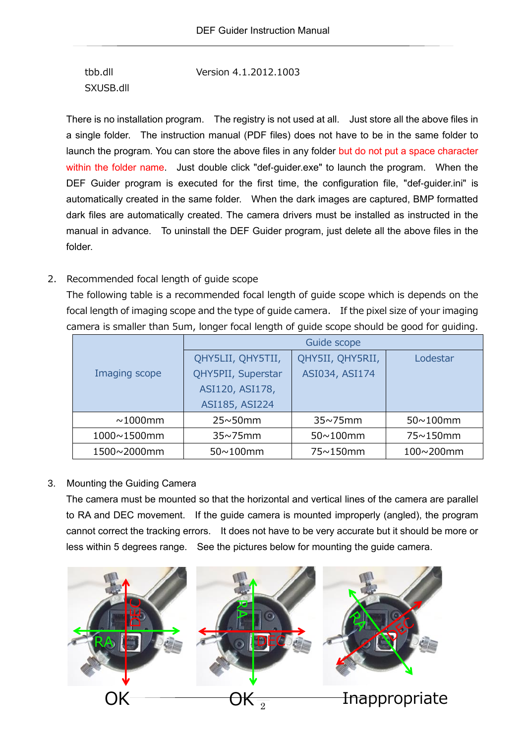tbb.dll Version 4.1.2012.1003 SXUSB.dll

There is no installation program. The registry is not used at all. Just store all the above files in a single folder. The instruction manual (PDF files) does not have to be in the same folder to launch the program. You can store the above files in any folder but do not put a space character within the folder name. Just double click "def-guider.exe" to launch the program. When the DEF Guider program is executed for the first time, the configuration file, "def-guider.ini" is automatically created in the same folder. When the dark images are captured, BMP formatted dark files are automatically created. The camera drivers must be installed as instructed in the manual in advance. To uninstall the DEF Guider program, just delete all the above files in the folder.

### 2. Recommended focal length of guide scope

The following table is a recommended focal length of guide scope which is depends on the focal length of imaging scope and the type of guide camera. If the pixel size of your imaging camera is smaller than 5um, longer focal length of guide scope should be good for guiding.

|               | Guide scope        |                  |                  |  |
|---------------|--------------------|------------------|------------------|--|
|               | QHY5LII, QHY5TII,  | QHY5II, QHY5RII, | Lodestar         |  |
| Imaging scope | QHY5PII, Superstar | ASI034, ASI174   |                  |  |
|               | ASI120, ASI178,    |                  |                  |  |
|               | ASI185, ASI224     |                  |                  |  |
| $\sim$ 1000mm | $25 \sim 50$ mm    | $35 \sim 75$ mm  | $50 \sim 100$ mm |  |
| 1000~1500mm   | $35 \sim 75$ mm    | $50 \sim 100$ mm | 75~150mm         |  |
| 1500~2000mm   | $50 \sim 100$ mm   | 75~150mm         | 100~200mm        |  |

### 3. Mounting the Guiding Camera

The camera must be mounted so that the horizontal and vertical lines of the camera are parallel to RA and DEC movement. If the guide camera is mounted improperly (angled), the program cannot correct the tracking errors. It does not have to be very accurate but it should be more or less within 5 degrees range. See the pictures below for mounting the guide camera.

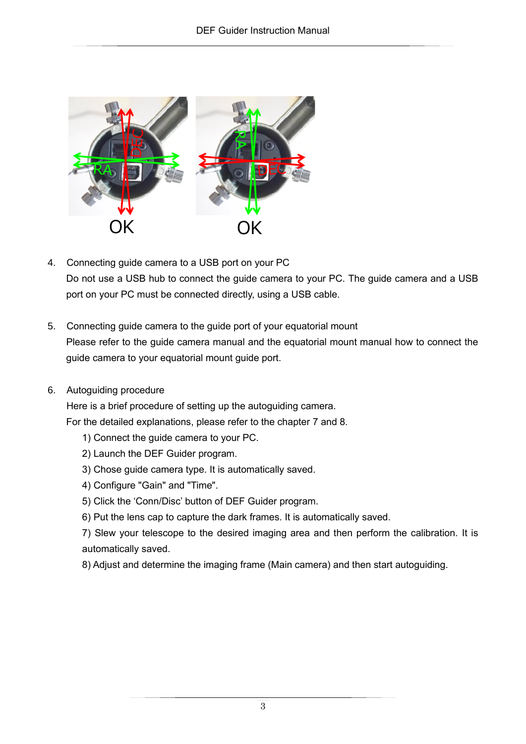

- 4. Connecting guide camera to a USB port on your PC Do not use a USB hub to connect the guide camera to your PC. The guide camera and a USB port on your PC must be connected directly, using a USB cable.
- 5. Connecting guide camera to the guide port of your equatorial mount Please refer to the guide camera manual and the equatorial mount manual how to connect the guide camera to your equatorial mount guide port.
- 6. Autoguiding procedure

Here is a brief procedure of setting up the autoguiding camera.

For the detailed explanations, please refer to the chapter [7](#page-3-0) and [8.](#page-9-0)

- 1) Connect the guide camera to your PC.
- 2) Launch the DEF Guider program.
- 3) Chose guide camera type. It is automatically saved.
- 4) Configure "Gain" and "Time".
- 5) Click the 'Conn/Disc' button of DEF Guider program.
- 6) Put the lens cap to capture the dark frames. It is automatically saved.

7) Slew your telescope to the desired imaging area and then perform the calibration. It is automatically saved.

8) Adjust and determine the imaging frame (Main camera) and then start autoguiding.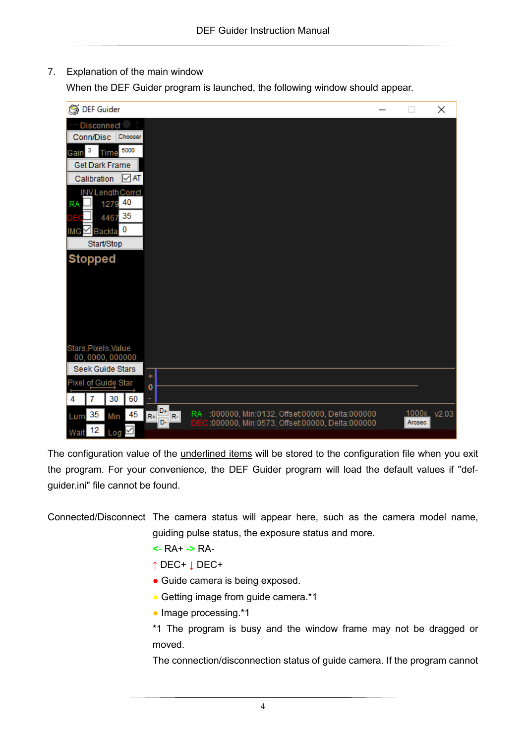<span id="page-3-0"></span>7. Explanation of the main window

When the DEF Guider program is launched, the following window should appear.

| DEF Guider                                                                              |                                                                                                                   | ×                     |
|-----------------------------------------------------------------------------------------|-------------------------------------------------------------------------------------------------------------------|-----------------------|
| Disconnect                                                                              |                                                                                                                   |                       |
| Conn/Disc<br>Chooser                                                                    |                                                                                                                   |                       |
| з<br>5000<br>Gain<br>Time                                                               |                                                                                                                   |                       |
| Get Dark Frame                                                                          |                                                                                                                   |                       |
| $\sqrt{AT}$<br>Calibration                                                              |                                                                                                                   |                       |
| INV Length Corrct<br>40<br>1279<br><b>RA</b>                                            |                                                                                                                   |                       |
| 4467 35                                                                                 |                                                                                                                   |                       |
| Backla, O<br>IMG                                                                        |                                                                                                                   |                       |
| Start/Stop                                                                              |                                                                                                                   |                       |
| <b>Stopped</b>                                                                          |                                                                                                                   |                       |
| Stars, Pixels, Value<br>00,0000,000000                                                  |                                                                                                                   |                       |
| Seek Guide Stars                                                                        |                                                                                                                   |                       |
| ٠<br>Pixel of Guide Star<br>0                                                           |                                                                                                                   |                       |
| 30<br>60<br>4                                                                           |                                                                                                                   |                       |
| D+<br>35<br>45<br>$R+$<br>$\mathsf{R}\text{-}$<br>Lum<br>Min<br>D-<br>12<br>Wait<br>Log | <b>RA</b><br>:000000, Min:0132, Offset:00000, Delta:000000<br>:000000, Min:0573, Offset:00000, Delta:000000<br>DE | 1000x v2.03<br>Arcsec |

The configuration value of the underlined items will be stored to the configuration file when you exit the program. For your convenience, the DEF Guider program will load the default values if "defguider.ini" file cannot be found.

Connected/Disconnect The camera status will appear here, such as the camera model name, guiding pulse status, the exposure status and more.

- **<-** RA+ **->** RA-
- **↑** DEC+ **↓** DEC+
- Guide camera is being exposed.
- Getting image from guide camera.\*1
- Image processing.\*1

\*1 The program is busy and the window frame may not be dragged or moved.

The connection/disconnection status of guide camera. If the program cannot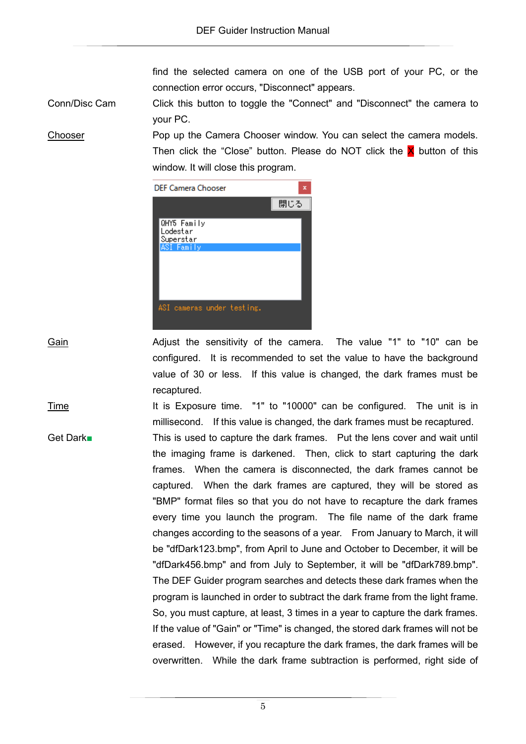find the selected camera on one of the USB port of your PC, or the connection error occurs, "Disconnect" appears.

Conn/Disc Cam Click this button to toggle the "Connect" and "Disconnect" the camera to your PC.

Chooser Pop up the Camera Chooser window. You can select the camera models. Then click the "Close" button. Please do NOT click the  $\times$  button of this window. It will close this program.



Gain **Gain** Adjust the sensitivity of the camera. The value "1" to "10" can be configured. It is recommended to set the value to have the background value of 30 or less. If this value is changed, the dark frames must be recaptured.

Time The It is Exposure time. "1" to "10000" can be configured. The unit is in millisecond. If this value is changed, the dark frames must be recaptured. Get Dark■ This is used to capture the dark frames. Put the lens cover and wait until the imaging frame is darkened. Then, click to start capturing the dark frames. When the camera is disconnected, the dark frames cannot be captured. When the dark frames are captured, they will be stored as "BMP" format files so that you do not have to recapture the dark frames every time you launch the program. The file name of the dark frame changes according to the seasons of a year. From January to March, it will be "dfDark123.bmp", from April to June and October to December, it will be "dfDark456.bmp" and from July to September, it will be "dfDark789.bmp". The DEF Guider program searches and detects these dark frames when the program is launched in order to subtract the dark frame from the light frame. So, you must capture, at least, 3 times in a year to capture the dark frames.

> If the value of "Gain" or "Time" is changed, the stored dark frames will not be erased. However, if you recapture the dark frames, the dark frames will be overwritten. While the dark frame subtraction is performed, right side of

> > 5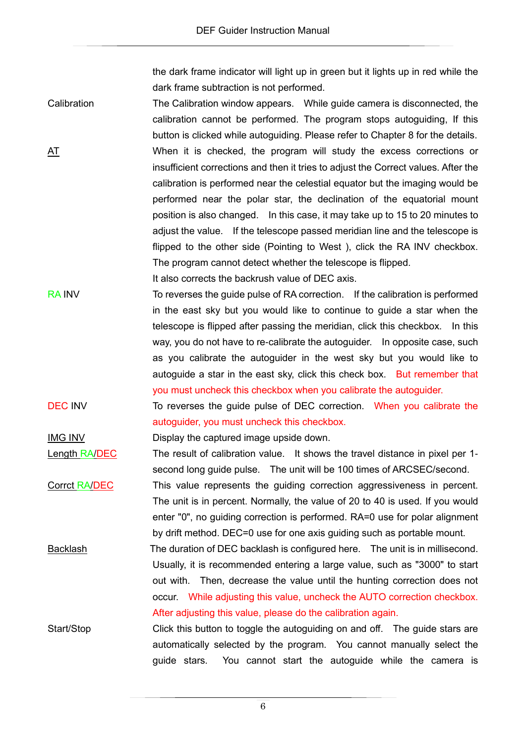the dark frame indicator will light up in green but it lights up in red while the dark frame subtraction is not performed.

Calibration The Calibration window appears. While guide camera is disconnected, the calibration cannot be performed. The program stops autoguiding, If this button is clicked while autoguiding. Please refer to Chapter [8](#page-9-0) for the details. AT MICHT When it is checked, the program will study the excess corrections or insufficient corrections and then it tries to adjust the Correct values. After the calibration is performed near the celestial equator but the imaging would be performed near the polar star, the declination of the equatorial mount position is also changed. In this case, it may take up to 15 to 20 minutes to adjust the value. If the telescope passed meridian line and the telescope is flipped to the other side (Pointing to West ), click the RA INV checkbox. The program cannot detect whether the telescope is flipped. It also corrects the backrush value of DEC axis.

- RA INV To reverses the guide pulse of RA correction. If the calibration is performed in the east sky but you would like to continue to guide a star when the telescope is flipped after passing the meridian, click this checkbox. In this way, you do not have to re-calibrate the autoguider. In opposite case, such as you calibrate the autoguider in the west sky but you would like to autoguide a star in the east sky, click this check box. But remember that you must uncheck this checkbox when you calibrate the autoguider.
- DEC INV To reverses the quide pulse of DEC correction. When you calibrate the autoguider, you must uncheck this checkbox.

IMG INV Display the captured image upside down.

Length RA/DEC The result of calibration value. It shows the travel distance in pixel per 1second long guide pulse. The unit will be 100 times of ARCSEC/second.

Corrct RA/DEC This value represents the guiding correction aggressiveness in percent. The unit is in percent. Normally, the value of 20 to 40 is used. If you would enter "0", no guiding correction is performed. RA=0 use for polar alignment by drift method. DEC=0 use for one axis guiding such as portable mount.

Backlash The duration of DEC backlash is configured here. The unit is in millisecond. Usually, it is recommended entering a large value, such as "3000" to start out with. Then, decrease the value until the hunting correction does not occur. While adjusting this value, uncheck the AUTO correction checkbox. After adjusting this value, please do the calibration again.

Start/Stop Click this button to toggle the autoguiding on and off. The guide stars are automatically selected by the program. You cannot manually select the guide stars. You cannot start the autoguide while the camera is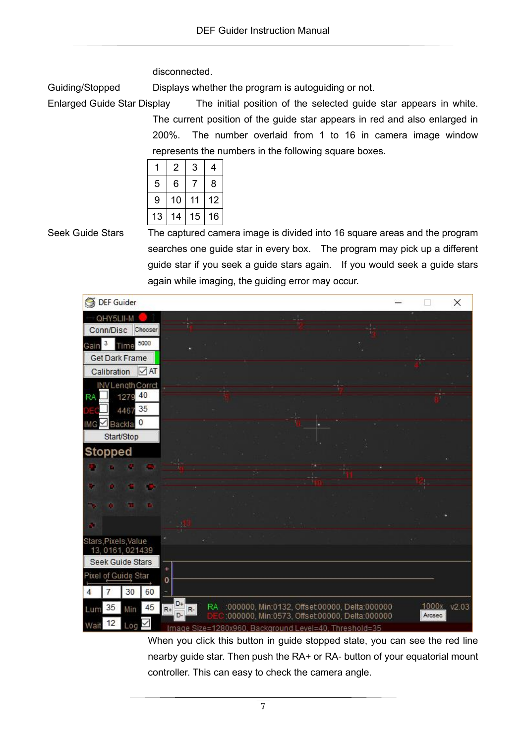disconnected.

Guiding/Stopped Displays whether the program is autoguiding or not.

Enlarged Guide Star Display The initial position of the selected guide star appears in white. The current position of the guide star appears in red and also enlarged in 200%. The number overlaid from 1 to 16 in camera image window represents the numbers in the following square boxes.

|    | 2  | 3  | 4  |  |
|----|----|----|----|--|
| 5  | 6  |    | 8  |  |
| 9  | 10 | 11 | 12 |  |
| 13 | 14 | 15 | 16 |  |

Seek Guide Stars The captured camera image is divided into 16 square areas and the program searches one guide star in every box. The program may pick up a different guide star if you seek a guide stars again. If you would seek a guide stars again while imaging, the guiding error may occur.



When you click this button in guide stopped state, you can see the red line nearby guide star. Then push the RA+ or RA- button of your equatorial mount controller. This can easy to check the camera angle.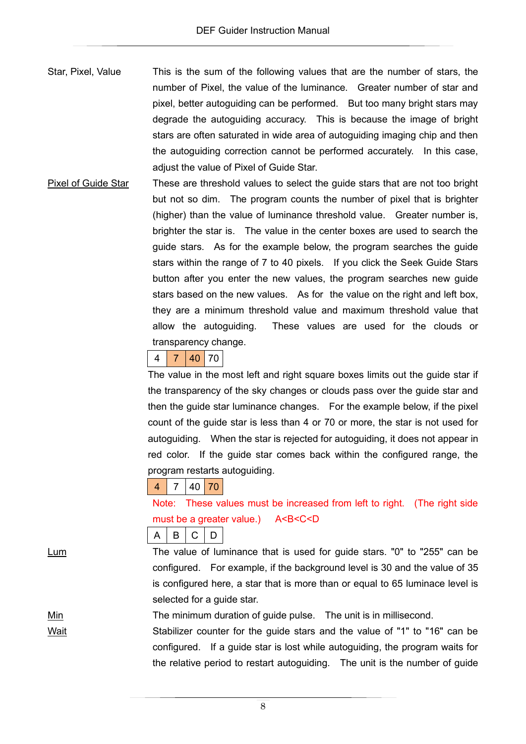- Star, Pixel, Value This is the sum of the following values that are the number of stars, the number of Pixel, the value of the luminance. Greater number of star and pixel, better autoguiding can be performed. But too many bright stars may degrade the autoguiding accuracy. This is because the image of bright stars are often saturated in wide area of autoguiding imaging chip and then the autoguiding correction cannot be performed accurately. In this case, adjust the value of Pixel of Guide Star.
- Pixel of Guide Star These are threshold values to select the guide stars that are not too bright but not so dim. The program counts the number of pixel that is brighter (higher) than the value of luminance threshold value. Greater number is, brighter the star is. The value in the center boxes are used to search the guide stars. As for the example below, the program searches the guide stars within the range of 7 to 40 pixels. If you click the Seek Guide Stars button after you enter the new values, the program searches new guide stars based on the new values. As for the value on the right and left box, they are a minimum threshold value and maximum threshold value that allow the autoguiding. These values are used for the clouds or transparency change.

# $4 \mid 7 \mid 40 \mid 70$

The value in the most left and right square boxes limits out the guide star if the transparency of the sky changes or clouds pass over the guide star and then the guide star luminance changes. For the example below, if the pixel count of the guide star is less than 4 or 70 or more, the star is not used for autoguiding. When the star is rejected for autoguiding, it does not appear in red color. If the guide star comes back within the configured range, the program restarts autoguiding.

## $4 \mid 7 \mid 40 \mid 70$

Note: These values must be increased from left to right. (The right side must be a greater value.) A<B<C<D

A B C D

Lum The value of luminance that is used for guide stars. "0" to "255" can be configured. For example, if the background level is 30 and the value of 35 is configured here, a star that is more than or equal to 65 luminace level is selected for a guide star.

Min Min The minimum duration of guide pulse. The unit is in millisecond.

Wait **Stabilizer counter for the guide stars and the value of "1" to "16" can be** configured. If a guide star is lost while autoguiding, the program waits for the relative period to restart autoguiding. The unit is the number of guide

8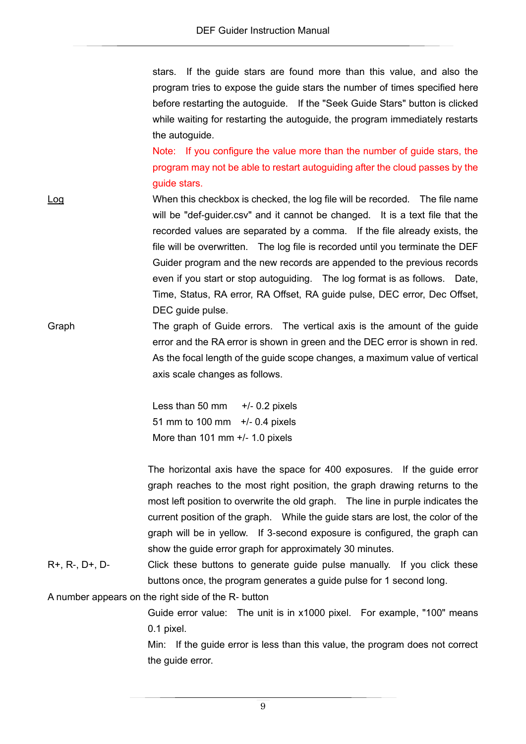stars. If the guide stars are found more than this value, and also the program tries to expose the guide stars the number of times specified here before restarting the autoguide. If the "Seek Guide Stars" button is clicked while waiting for restarting the autoguide, the program immediately restarts the autoguide.

Note: If you configure the value more than the number of guide stars, the program may not be able to restart autoguiding after the cloud passes by the guide stars.

- Log When this checkbox is checked, the log file will be recorded. The file name will be "def-guider.csv" and it cannot be changed. It is a text file that the recorded values are separated by a comma. If the file already exists, the file will be overwritten. The log file is recorded until you terminate the DEF Guider program and the new records are appended to the previous records even if you start or stop autoguiding. The log format is as follows. Date, Time, Status, RA error, RA Offset, RA guide pulse, DEC error, Dec Offset, DEC guide pulse.
- Graph The graph of Guide errors. The vertical axis is the amount of the guide error and the RA error is shown in green and the DEC error is shown in red. As the focal length of the guide scope changes, a maximum value of vertical axis scale changes as follows.

Less than 50 mm  $+/-$  0.2 pixels 51 mm to 100 mm +/- 0.4 pixels More than 101 mm +/- 1.0 pixels

The horizontal axis have the space for 400 exposures. If the guide error graph reaches to the most right position, the graph drawing returns to the most left position to overwrite the old graph. The line in purple indicates the current position of the graph. While the guide stars are lost, the color of the graph will be in yellow. If 3-second exposure is configured, the graph can show the guide error graph for approximately 30 minutes.

R+, R-, D+, D- Click these buttons to generate guide pulse manually. If you click these buttons once, the program generates a guide pulse for 1 second long.

A number appears on the right side of the R- button

Guide error value: The unit is in x1000 pixel. For example, "100" means 0.1 pixel.

Min: If the guide error is less than this value, the program does not correct the guide error.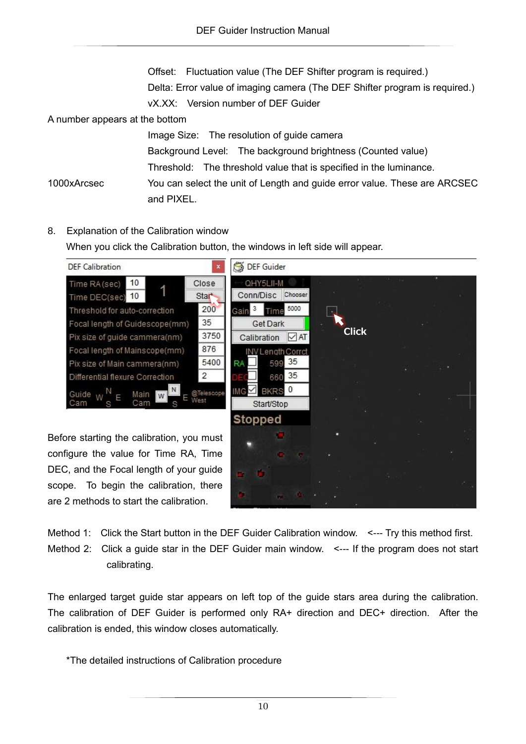Offset: Fluctuation value (The DEF Shifter program is required.) Delta: Error value of imaging camera (The DEF Shifter program is required.) vX.XX: Version number of DEF Guider

A number appears at the bottom

Image Size: The resolution of guide camera Background Level: The background brightness (Counted value) Threshold: The threshold value that is specified in the luminance. 1000xArcsec You can select the unit of Length and guide error value. These are ARCSEC and PIXEL.

<span id="page-9-0"></span>8. Explanation of the Calibration window

When you click the Calibration button, the windows in left side will appear.



Method 1: Click the Start button in the DEF Guider Calibration window. <--- Try this method first. Method 2: Click a guide star in the DEF Guider main window. <--- If the program does not start calibrating.

The enlarged target guide star appears on left top of the guide stars area during the calibration. The calibration of DEF Guider is performed only RA+ direction and DEC+ direction. After the calibration is ended, this window closes automatically.

\*The detailed instructions of Calibration procedure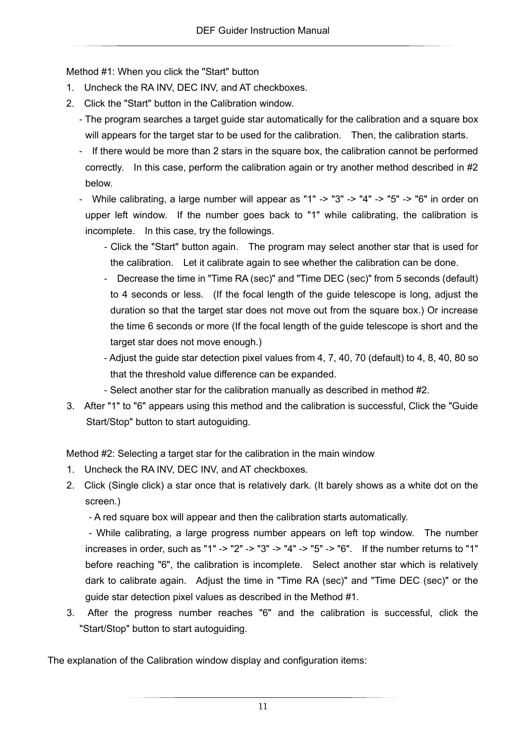Method #1: When you click the "Start" button

- 1. Uncheck the RA INV, DEC INV, and AT checkboxes.
- 2. Click the "Start" button in the Calibration window.
	- The program searches a target guide star automatically for the calibration and a square box will appears for the target star to be used for the calibration. Then, the calibration starts.
	- If there would be more than 2 stars in the square box, the calibration cannot be performed correctly. In this case, perform the calibration again or try another method described in #2 below.

- While calibrating, a large number will appear as "1" -> "3" -> "4" -> "5" -> "6" in order on upper left window. If the number goes back to "1" while calibrating, the calibration is incomplete. In this case, try the followings.

- Click the "Start" button again. The program may select another star that is used for the calibration. Let it calibrate again to see whether the calibration can be done.
- Decrease the time in "Time RA (sec)" and "Time DEC (sec)" from 5 seconds (default) to 4 seconds or less. (If the focal length of the guide telescope is long, adjust the duration so that the target star does not move out from the square box.) Or increase the time 6 seconds or more (If the focal length of the guide telescope is short and the target star does not move enough.)
- Adjust the guide star detection pixel values from 4, 7, 40, 70 (default) to 4, 8, 40, 80 so that the threshold value difference can be expanded.
- Select another star for the calibration manually as described in method #2.
- 3. After "1" to "6" appears using this method and the calibration is successful, Click the "Guide Start/Stop" button to start autoguiding.

Method #2: Selecting a target star for the calibration in the main window

- 1. Uncheck the RA INV, DEC INV, and AT checkboxes.
- 2. Click (Single click) a star once that is relatively dark. (It barely shows as a white dot on the screen.)

- A red square box will appear and then the calibration starts automatically.

 - While calibrating, a large progress number appears on left top window. The number increases in order, such as "1" -> "2" -> "3" -> "4" -> "5" -> "6". If the number returns to "1" before reaching "6", the calibration is incomplete. Select another star which is relatively dark to calibrate again. Adjust the time in "Time RA (sec)" and "Time DEC (sec)" or the guide star detection pixel values as described in the Method #1.

3. After the progress number reaches "6" and the calibration is successful, click the "Start/Stop" button to start autoguiding.

The explanation of the Calibration window display and configuration items: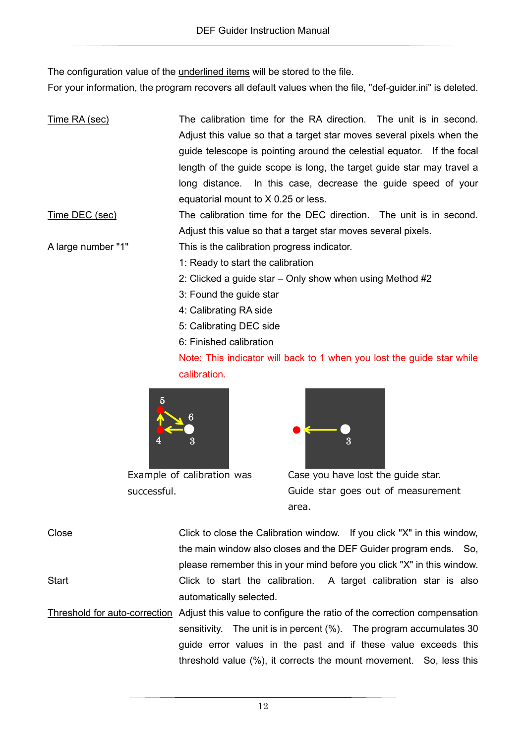The configuration value of the underlined items will be stored to the file.

For your information, the program recovers all default values when the file, "def-guider.ini" is deleted.

| <u>Time RA (sec)</u> | The calibration time for the RA direction. The unit is in second.<br>Adjust this value so that a target star moves several pixels when the<br>guide telescope is pointing around the celestial equator. If the focal<br>length of the guide scope is long, the target guide star may travel a<br>long distance. In this case, decrease the guide speed of your<br>equatorial mount to X 0.25 or less. |
|----------------------|-------------------------------------------------------------------------------------------------------------------------------------------------------------------------------------------------------------------------------------------------------------------------------------------------------------------------------------------------------------------------------------------------------|
| Time DEC (sec)       | The calibration time for the DEC direction. The unit is in second.                                                                                                                                                                                                                                                                                                                                    |
|                      | Adjust this value so that a target star moves several pixels.                                                                                                                                                                                                                                                                                                                                         |
| A large number "1"   | This is the calibration progress indicator.                                                                                                                                                                                                                                                                                                                                                           |
|                      | 1: Ready to start the calibration                                                                                                                                                                                                                                                                                                                                                                     |
|                      | 2: Clicked a guide star – Only show when using Method $#2$                                                                                                                                                                                                                                                                                                                                            |
|                      | 3: Found the guide star                                                                                                                                                                                                                                                                                                                                                                               |
|                      | 4: Calibrating RA side                                                                                                                                                                                                                                                                                                                                                                                |
|                      | 5: Calibrating DEC side                                                                                                                                                                                                                                                                                                                                                                               |
|                      | 6: Finished calibration                                                                                                                                                                                                                                                                                                                                                                               |
|                      | Note: This indicator will back to 1 when you lost the guide star while                                                                                                                                                                                                                                                                                                                                |
|                      | calibration.                                                                                                                                                                                                                                                                                                                                                                                          |



Example of calibration was successful.



Case you have lost the guide star. Guide star goes out of measurement area.

| Close        | Click to close the Calibration window. If you click "X" in this window, |
|--------------|-------------------------------------------------------------------------|
|              | the main window also closes and the DEF Guider program ends. So,        |
|              | please remember this in your mind before you click "X" in this window.  |
| <b>Start</b> | Click to start the calibration. A target calibration star is also       |
|              | automatically selected.                                                 |

Threshold for auto-correction Adjust this value to configure the ratio of the correction compensation sensitivity. The unit is in percent (%). The program accumulates 30 guide error values in the past and if these value exceeds this threshold value (%), it corrects the mount movement. So, less this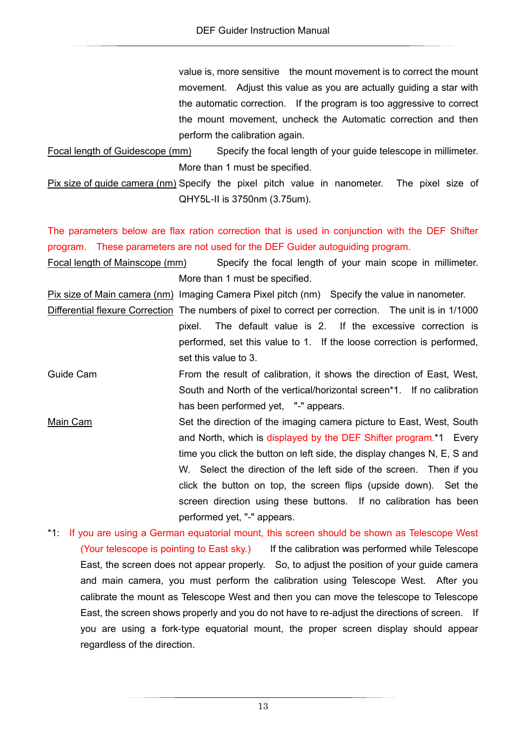value is, more sensitive the mount movement is to correct the mount movement. Adjust this value as you are actually guiding a star with the automatic correction. If the program is too aggressive to correct the mount movement, uncheck the Automatic correction and then perform the calibration again.

Focal length of Guidescope (mm) Specify the focal length of your guide telescope in millimeter. More than 1 must be specified.

Pix size of guide camera (nm) Specify the pixel pitch value in nanometer. The pixel size of QHY5L-II is 3750nm (3.75um).

The parameters below are flax ration correction that is used in conjunction with the DEF Shifter program. These parameters are not used for the DEF Guider autoguiding program.

Focal length of Mainscope (mm) Specify the focal length of your main scope in millimeter. More than 1 must be specified.

Pix size of Main camera (nm) Imaging Camera Pixel pitch (nm) Specify the value in nanometer.

Differential flexure Correction The numbers of pixel to correct per correction. The unit is in 1/1000 pixel. The default value is 2. If the excessive correction is performed, set this value to 1. If the loose correction is performed, set this value to 3.

- Guide Cam From the result of calibration, it shows the direction of East, West, South and North of the vertical/horizontal screen\*1. If no calibration has been performed yet, "-" appears.
- Main Cam Set the direction of the imaging camera picture to East, West, South and North, which is displayed by the DEF Shifter program.\*1 Every time you click the button on left side, the display changes N, E, S and W. Select the direction of the left side of the screen. Then if you click the button on top, the screen flips (upside down). Set the screen direction using these buttons. If no calibration has been performed yet, "-" appears.

\*1: If you are using a German equatorial mount, this screen should be shown as Telescope West (Your telescope is pointing to East sky.) If the calibration was performed while Telescope East, the screen does not appear properly. So, to adjust the position of your guide camera and main camera, you must perform the calibration using Telescope West. After you calibrate the mount as Telescope West and then you can move the telescope to Telescope East, the screen shows properly and you do not have to re-adjust the directions of screen. If you are using a fork-type equatorial mount, the proper screen display should appear regardless of the direction.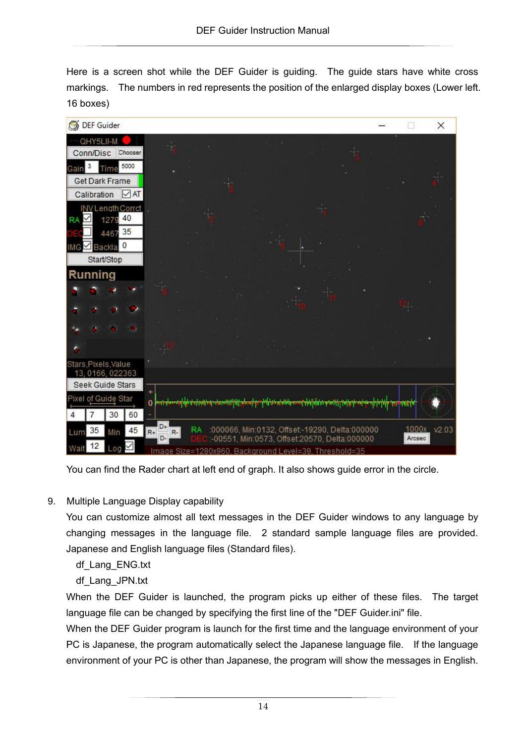Here is a screen shot while the DEF Guider is guiding. The guide stars have white cross markings. The numbers in red represents the position of the enlarged display boxes (Lower left. 16 boxes)

| DEF Guider                                                                                                                                                                        | × |
|-----------------------------------------------------------------------------------------------------------------------------------------------------------------------------------|---|
| QHY5LII-M<br>Conn/Disc<br>Chooser                                                                                                                                                 |   |
| 5000<br>3<br>Time<br>Gain<br>Get Dark Frame                                                                                                                                       |   |
| Calibration<br>$\sqrt{AT}$                                                                                                                                                        |   |
| INV Length Corrct<br>1279 40<br>RA                                                                                                                                                |   |
| 4467 35                                                                                                                                                                           |   |
| Backla 0<br>IMG<br>Start/Stop                                                                                                                                                     |   |
| Running                                                                                                                                                                           |   |
|                                                                                                                                                                                   |   |
|                                                                                                                                                                                   |   |
|                                                                                                                                                                                   |   |
| Stars, Pixels, Value<br>13, 0166, 022363                                                                                                                                          |   |
| Seek Guide Stars                                                                                                                                                                  |   |
| ÷<br>Pixel of Guide Star<br>وأبقلوا أليتحضض وتواهلوا ومصابعتهم وتواهق والمستواة التستوا والتشامين متفاقي والتوابع فتوافق ومصافيته والان<br><b>TALENT RESIDEN</b><br>30<br>60<br>4 |   |
| D+<br>1000x v2.03<br>:000066, Min:0132, Offset-19290, Delta:000000<br>RA.<br>45<br>35<br>$R+$<br>$R-$<br>Lum<br>Min<br>D-<br>Arcsec                                               |   |
| :-00551, Min:0573, Offset:20570, Delta:000000<br>12<br><b>Wait</b><br>Log<br>Size=1280x960, Background Level=39, Threshold=35<br>Image                                            |   |

You can find the Rader chart at left end of graph. It also shows guide error in the circle.

9. Multiple Language Display capability

You can customize almost all text messages in the DEF Guider windows to any language by changing messages in the language file. 2 standard sample language files are provided. Japanese and English language files (Standard files).

df\_Lang\_ENG.txt

df\_Lang\_JPN.txt

When the DEF Guider is launched, the program picks up either of these files. The target language file can be changed by specifying the first line of the "DEF Guider.ini" file.

When the DEF Guider program is launch for the first time and the language environment of your PC is Japanese, the program automatically select the Japanese language file. If the language environment of your PC is other than Japanese, the program will show the messages in English.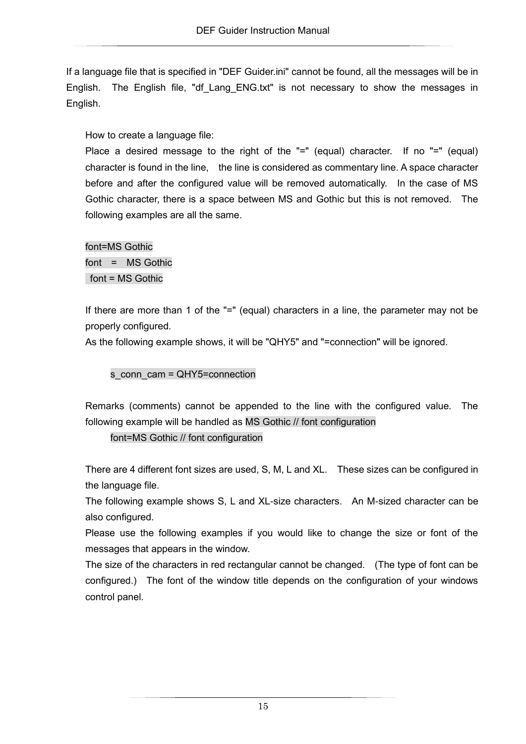If a language file that is specified in "DEF Guider.ini" cannot be found, all the messages will be in English. The English file, "df Lang ENG.txt" is not necessary to show the messages in English.

How to create a language file:

Place a desired message to the right of the "=" (equal) character. If no "=" (equal) character is found in the line, the line is considered as commentary line. A space character before and after the configured value will be removed automatically. In the case of MS Gothic character, there is a space between MS and Gothic but this is not removed. The following examples are all the same.

font=MS Gothic font = MS Gothic font = MS Gothic

If there are more than 1 of the "=" (equal) characters in a line, the parameter may not be properly configured.

As the following example shows, it will be "QHY5" and "=connection" will be ignored.

s\_conn\_cam = QHY5=connection

Remarks (comments) cannot be appended to the line with the configured value. The following example will be handled as MS Gothic // font configuration

font=MS Gothic // font configuration

There are 4 different font sizes are used, S, M, L and XL. These sizes can be configured in the language file.

The following example shows S, L and XL-size characters. An M-sized character can be also configured.

Please use the following examples if you would like to change the size or font of the messages that appears in the window.

The size of the characters in red rectangular cannot be changed. (The type of font can be configured.) The font of the window title depends on the configuration of your windows control panel.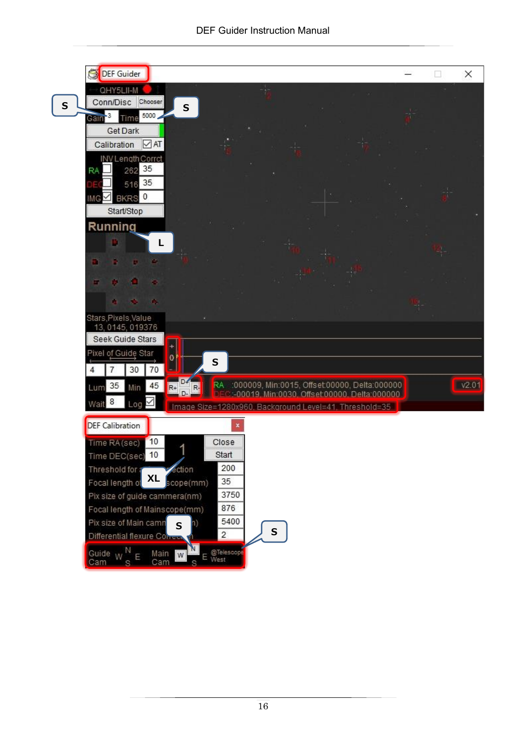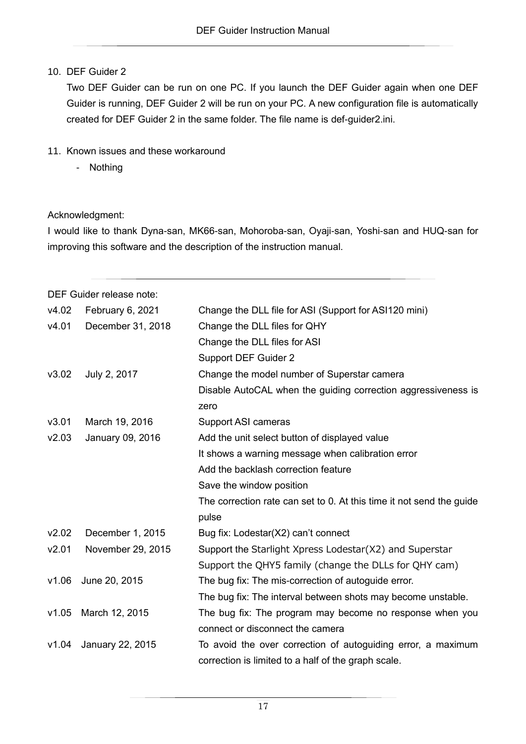## 10. DEF Guider 2

Two DEF Guider can be run on one PC. If you launch the DEF Guider again when one DEF Guider is running, DEF Guider 2 will be run on your PC. A new configuration file is automatically created for DEF Guider 2 in the same folder. The file name is def-guider2.ini.

- 11. Known issues and these workaround
	- Nothing

### Acknowledgment:

I would like to thank Dyna-san, MK66-san, Mohoroba-san, Oyaji-san, Yoshi-san and HUQ-san for improving this software and the description of the instruction manual.

|       | DEF Guider release note: |                                                                      |  |  |
|-------|--------------------------|----------------------------------------------------------------------|--|--|
| v4.02 | February 6, 2021         | Change the DLL file for ASI (Support for ASI120 mini)                |  |  |
| v4.01 | December 31, 2018        | Change the DLL files for QHY                                         |  |  |
|       |                          | Change the DLL files for ASI                                         |  |  |
|       |                          | <b>Support DEF Guider 2</b>                                          |  |  |
| v3.02 | July 2, 2017             | Change the model number of Superstar camera                          |  |  |
|       |                          | Disable AutoCAL when the guiding correction aggressiveness is        |  |  |
|       |                          | zero                                                                 |  |  |
| v3.01 | March 19, 2016           | <b>Support ASI cameras</b>                                           |  |  |
| v2.03 | January 09, 2016         | Add the unit select button of displayed value                        |  |  |
|       |                          | It shows a warning message when calibration error                    |  |  |
|       |                          | Add the backlash correction feature                                  |  |  |
|       |                          | Save the window position                                             |  |  |
|       |                          | The correction rate can set to 0. At this time it not send the guide |  |  |
|       |                          | pulse                                                                |  |  |
| v2.02 | December 1, 2015         | Bug fix: Lodestar(X2) can't connect                                  |  |  |
| v2.01 | November 29, 2015        | Support the Starlight Xpress Lodestar(X2) and Superstar              |  |  |
|       |                          | Support the QHY5 family (change the DLLs for QHY cam)                |  |  |
| v1.06 | June 20, 2015            | The bug fix: The mis-correction of autoguide error.                  |  |  |
|       |                          | The bug fix: The interval between shots may become unstable.         |  |  |
| v1.05 | March 12, 2015           | The bug fix: The program may become no response when you             |  |  |
|       |                          | connect or disconnect the camera                                     |  |  |
| v1.04 | January 22, 2015         | To avoid the over correction of autoguiding error, a maximum         |  |  |
|       |                          | correction is limited to a half of the graph scale.                  |  |  |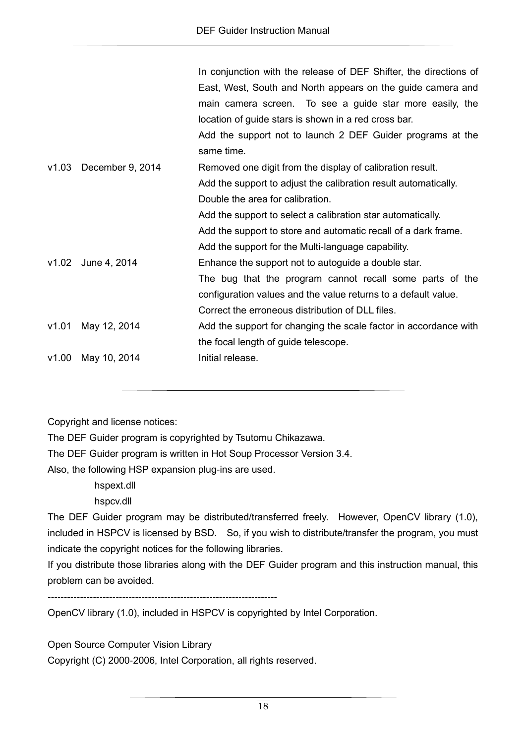|       |                        | In conjunction with the release of DEF Shifter, the directions of |
|-------|------------------------|-------------------------------------------------------------------|
|       |                        | East, West, South and North appears on the guide camera and       |
|       |                        | main camera screen. To see a guide star more easily, the          |
|       |                        | location of guide stars is shown in a red cross bar.              |
|       |                        | Add the support not to launch 2 DEF Guider programs at the        |
|       |                        | same time.                                                        |
|       | v1.03 December 9, 2014 | Removed one digit from the display of calibration result.         |
|       |                        | Add the support to adjust the calibration result automatically.   |
|       |                        | Double the area for calibration.                                  |
|       |                        | Add the support to select a calibration star automatically.       |
|       |                        | Add the support to store and automatic recall of a dark frame.    |
|       |                        | Add the support for the Multi-language capability.                |
|       | v1.02 June 4, 2014     | Enhance the support not to autoguide a double star.               |
|       |                        | The bug that the program cannot recall some parts of the          |
|       |                        | configuration values and the value returns to a default value.    |
|       |                        | Correct the erroneous distribution of DLL files.                  |
| v1.01 | May 12, 2014           | Add the support for changing the scale factor in accordance with  |
|       |                        | the focal length of guide telescope.                              |
| v1.00 | May 10, 2014           | Initial release.                                                  |
|       |                        |                                                                   |

Copyright and license notices:

The DEF Guider program is copyrighted by Tsutomu Chikazawa.

The DEF Guider program is written in Hot Soup Processor Version 3.4.

Also, the following HSP expansion plug-ins are used.

 hspext.dll hspcv.dll

The DEF Guider program may be distributed/transferred freely. However, OpenCV library (1.0), included in HSPCV is licensed by BSD. So, if you wish to distribute/transfer the program, you must indicate the copyright notices for the following libraries.

If you distribute those libraries along with the DEF Guider program and this instruction manual, this problem can be avoided.

-----------------------------------------------------------------------

OpenCV library (1.0), included in HSPCV is copyrighted by Intel Corporation.

Open Source Computer Vision Library

Copyright (C) 2000-2006, Intel Corporation, all rights reserved.